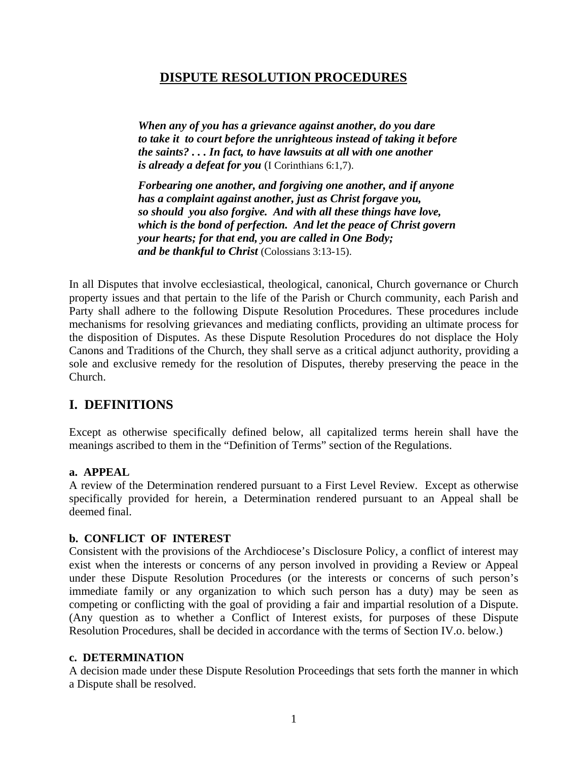# **DISPUTE RESOLUTION PROCEDURES**

*When any of you has a grievance against another, do you dare to take it to court before the unrighteous instead of taking it before the saints? . . . In fact, to have lawsuits at all with one another is already a defeat for you* (I Corinthians 6:1,7).

*Forbearing one another, and forgiving one another, and if anyone has a complaint against another, just as Christ forgave you, so should you also forgive. And with all these things have love, which is the bond of perfection. And let the peace of Christ govern your hearts; for that end, you are called in One Body; and be thankful to Christ* (Colossians 3:13-15).

In all Disputes that involve ecclesiastical, theological, canonical, Church governance or Church property issues and that pertain to the life of the Parish or Church community, each Parish and Party shall adhere to the following Dispute Resolution Procedures. These procedures include mechanisms for resolving grievances and mediating conflicts, providing an ultimate process for the disposition of Disputes. As these Dispute Resolution Procedures do not displace the Holy Canons and Traditions of the Church, they shall serve as a critical adjunct authority, providing a sole and exclusive remedy for the resolution of Disputes, thereby preserving the peace in the Church.

# **I. DEFINITIONS**

Except as otherwise specifically defined below, all capitalized terms herein shall have the meanings ascribed to them in the "Definition of Terms" section of the Regulations.

# **a. APPEAL**

A review of the Determination rendered pursuant to a First Level Review. Except as otherwise specifically provided for herein, a Determination rendered pursuant to an Appeal shall be deemed final.

# **b. CONFLICT OF INTEREST**

Consistent with the provisions of the Archdiocese's Disclosure Policy, a conflict of interest may exist when the interests or concerns of any person involved in providing a Review or Appeal under these Dispute Resolution Procedures (or the interests or concerns of such person's immediate family or any organization to which such person has a duty) may be seen as competing or conflicting with the goal of providing a fair and impartial resolution of a Dispute. (Any question as to whether a Conflict of Interest exists, for purposes of these Dispute Resolution Procedures, shall be decided in accordance with the terms of Section IV.o. below.)

#### **c. DETERMINATION**

A decision made under these Dispute Resolution Proceedings that sets forth the manner in which a Dispute shall be resolved.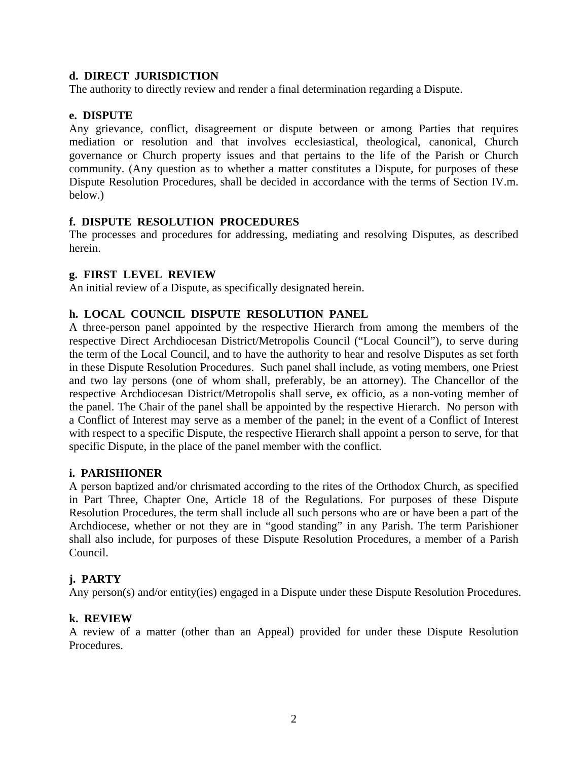### **d. DIRECT JURISDICTION**

The authority to directly review and render a final determination regarding a Dispute.

## **e. DISPUTE**

Any grievance, conflict, disagreement or dispute between or among Parties that requires mediation or resolution and that involves ecclesiastical, theological, canonical, Church governance or Church property issues and that pertains to the life of the Parish or Church community. (Any question as to whether a matter constitutes a Dispute, for purposes of these Dispute Resolution Procedures, shall be decided in accordance with the terms of Section IV.m. below.)

## **f. DISPUTE RESOLUTION PROCEDURES**

The processes and procedures for addressing, mediating and resolving Disputes, as described herein.

## **g. FIRST LEVEL REVIEW**

An initial review of a Dispute, as specifically designated herein.

## **h. LOCAL COUNCIL DISPUTE RESOLUTION PANEL**

A three-person panel appointed by the respective Hierarch from among the members of the respective Direct Archdiocesan District/Metropolis Council ("Local Council"), to serve during the term of the Local Council, and to have the authority to hear and resolve Disputes as set forth in these Dispute Resolution Procedures. Such panel shall include, as voting members, one Priest and two lay persons (one of whom shall, preferably, be an attorney). The Chancellor of the respective Archdiocesan District/Metropolis shall serve, ex officio, as a non-voting member of the panel. The Chair of the panel shall be appointed by the respective Hierarch. No person with a Conflict of Interest may serve as a member of the panel; in the event of a Conflict of Interest with respect to a specific Dispute, the respective Hierarch shall appoint a person to serve, for that specific Dispute, in the place of the panel member with the conflict.

#### **i. PARISHIONER**

A person baptized and/or chrismated according to the rites of the Orthodox Church, as specified in Part Three, Chapter One, Article 18 of the Regulations. For purposes of these Dispute Resolution Procedures, the term shall include all such persons who are or have been a part of the Archdiocese, whether or not they are in "good standing" in any Parish. The term Parishioner shall also include, for purposes of these Dispute Resolution Procedures, a member of a Parish Council.

#### **j. PARTY**

Any person(s) and/or entity(ies) engaged in a Dispute under these Dispute Resolution Procedures.

#### **k. REVIEW**

A review of a matter (other than an Appeal) provided for under these Dispute Resolution Procedures.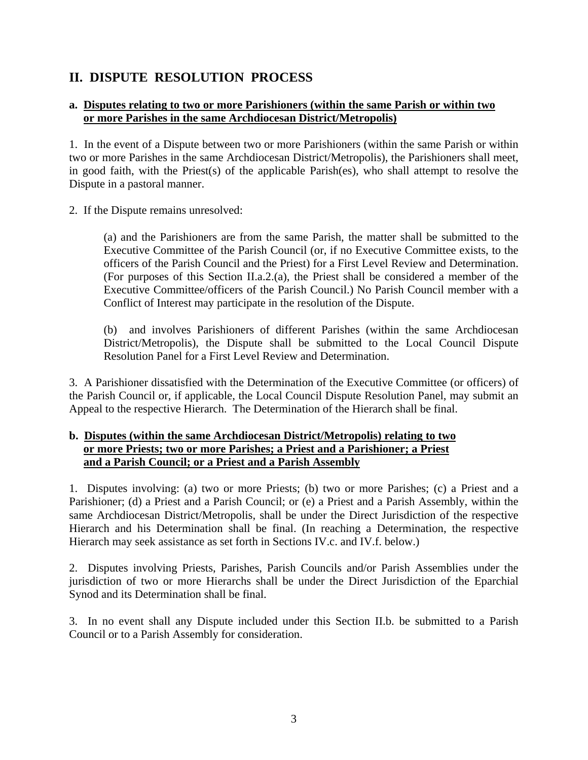# **II. DISPUTE RESOLUTION PROCESS**

# **a. Disputes relating to two or more Parishioners (within the same Parish or within two or more Parishes in the same Archdiocesan District/Metropolis)**

1. In the event of a Dispute between two or more Parishioners (within the same Parish or within two or more Parishes in the same Archdiocesan District/Metropolis), the Parishioners shall meet, in good faith, with the Priest(s) of the applicable Parish(es), who shall attempt to resolve the Dispute in a pastoral manner.

2. If the Dispute remains unresolved:

(a) and the Parishioners are from the same Parish, the matter shall be submitted to the Executive Committee of the Parish Council (or, if no Executive Committee exists, to the officers of the Parish Council and the Priest) for a First Level Review and Determination. (For purposes of this Section II.a.2.(a), the Priest shall be considered a member of the Executive Committee/officers of the Parish Council.) No Parish Council member with a Conflict of Interest may participate in the resolution of the Dispute.

(b) and involves Parishioners of different Parishes (within the same Archdiocesan District/Metropolis), the Dispute shall be submitted to the Local Council Dispute Resolution Panel for a First Level Review and Determination.

3. A Parishioner dissatisfied with the Determination of the Executive Committee (or officers) of the Parish Council or, if applicable, the Local Council Dispute Resolution Panel, may submit an Appeal to the respective Hierarch. The Determination of the Hierarch shall be final.

## **b. Disputes (within the same Archdiocesan District/Metropolis) relating to two or more Priests; two or more Parishes; a Priest and a Parishioner; a Priest and a Parish Council; or a Priest and a Parish Assembly**

1. Disputes involving: (a) two or more Priests; (b) two or more Parishes; (c) a Priest and a Parishioner; (d) a Priest and a Parish Council; or (e) a Priest and a Parish Assembly, within the same Archdiocesan District/Metropolis, shall be under the Direct Jurisdiction of the respective Hierarch and his Determination shall be final. (In reaching a Determination, the respective Hierarch may seek assistance as set forth in Sections IV.c. and IV.f. below.)

2. Disputes involving Priests, Parishes, Parish Councils and/or Parish Assemblies under the jurisdiction of two or more Hierarchs shall be under the Direct Jurisdiction of the Eparchial Synod and its Determination shall be final.

3. In no event shall any Dispute included under this Section II.b. be submitted to a Parish Council or to a Parish Assembly for consideration.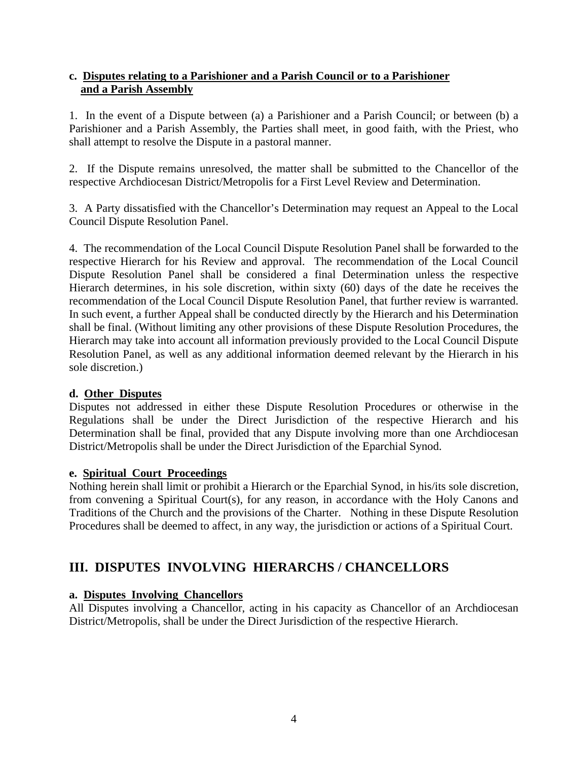# **c. Disputes relating to a Parishioner and a Parish Council or to a Parishioner and a Parish Assembly**

1. In the event of a Dispute between (a) a Parishioner and a Parish Council; or between (b) a Parishioner and a Parish Assembly, the Parties shall meet, in good faith, with the Priest, who shall attempt to resolve the Dispute in a pastoral manner.

2. If the Dispute remains unresolved, the matter shall be submitted to the Chancellor of the respective Archdiocesan District/Metropolis for a First Level Review and Determination.

3. A Party dissatisfied with the Chancellor's Determination may request an Appeal to the Local Council Dispute Resolution Panel.

4. The recommendation of the Local Council Dispute Resolution Panel shall be forwarded to the respective Hierarch for his Review and approval. The recommendation of the Local Council Dispute Resolution Panel shall be considered a final Determination unless the respective Hierarch determines, in his sole discretion, within sixty (60) days of the date he receives the recommendation of the Local Council Dispute Resolution Panel, that further review is warranted. In such event, a further Appeal shall be conducted directly by the Hierarch and his Determination shall be final. (Without limiting any other provisions of these Dispute Resolution Procedures, the Hierarch may take into account all information previously provided to the Local Council Dispute Resolution Panel, as well as any additional information deemed relevant by the Hierarch in his sole discretion.)

# **d. Other Disputes**

Disputes not addressed in either these Dispute Resolution Procedures or otherwise in the Regulations shall be under the Direct Jurisdiction of the respective Hierarch and his Determination shall be final, provided that any Dispute involving more than one Archdiocesan District/Metropolis shall be under the Direct Jurisdiction of the Eparchial Synod.

#### **e. Spiritual Court Proceedings**

Nothing herein shall limit or prohibit a Hierarch or the Eparchial Synod, in his/its sole discretion, from convening a Spiritual Court(s), for any reason, in accordance with the Holy Canons and Traditions of the Church and the provisions of the Charter. Nothing in these Dispute Resolution Procedures shall be deemed to affect, in any way, the jurisdiction or actions of a Spiritual Court.

# **III. DISPUTES INVOLVING HIERARCHS / CHANCELLORS**

# **a. Disputes Involving Chancellors**

All Disputes involving a Chancellor, acting in his capacity as Chancellor of an Archdiocesan District/Metropolis, shall be under the Direct Jurisdiction of the respective Hierarch.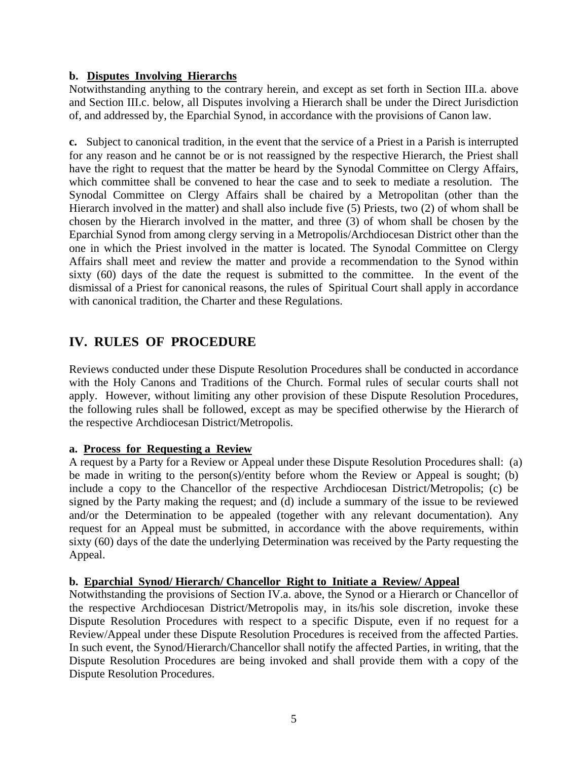## **b. Disputes Involving Hierarchs**

Notwithstanding anything to the contrary herein, and except as set forth in Section III.a. above and Section III.c. below, all Disputes involving a Hierarch shall be under the Direct Jurisdiction of, and addressed by, the Eparchial Synod, in accordance with the provisions of Canon law.

**c.** Subject to canonical tradition, in the event that the service of a Priest in a Parish is interrupted for any reason and he cannot be or is not reassigned by the respective Hierarch, the Priest shall have the right to request that the matter be heard by the Synodal Committee on Clergy Affairs, which committee shall be convened to hear the case and to seek to mediate a resolution. The Synodal Committee on Clergy Affairs shall be chaired by a Metropolitan (other than the Hierarch involved in the matter) and shall also include five (5) Priests, two (2) of whom shall be chosen by the Hierarch involved in the matter, and three (3) of whom shall be chosen by the Eparchial Synod from among clergy serving in a Metropolis/Archdiocesan District other than the one in which the Priest involved in the matter is located. The Synodal Committee on Clergy Affairs shall meet and review the matter and provide a recommendation to the Synod within sixty (60) days of the date the request is submitted to the committee. In the event of the dismissal of a Priest for canonical reasons, the rules of Spiritual Court shall apply in accordance with canonical tradition, the Charter and these Regulations.

# **IV. RULES OF PROCEDURE**

Reviews conducted under these Dispute Resolution Procedures shall be conducted in accordance with the Holy Canons and Traditions of the Church. Formal rules of secular courts shall not apply. However, without limiting any other provision of these Dispute Resolution Procedures, the following rules shall be followed, except as may be specified otherwise by the Hierarch of the respective Archdiocesan District/Metropolis.

# **a. Process for Requesting a Review**

A request by a Party for a Review or Appeal under these Dispute Resolution Procedures shall: (a) be made in writing to the person(s)/entity before whom the Review or Appeal is sought; (b) include a copy to the Chancellor of the respective Archdiocesan District/Metropolis; (c) be signed by the Party making the request; and (d) include a summary of the issue to be reviewed and/or the Determination to be appealed (together with any relevant documentation). Any request for an Appeal must be submitted, in accordance with the above requirements, within sixty (60) days of the date the underlying Determination was received by the Party requesting the Appeal.

#### **b. Eparchial Synod/ Hierarch/ Chancellor Right to Initiate a Review/ Appeal**

Notwithstanding the provisions of Section IV.a. above, the Synod or a Hierarch or Chancellor of the respective Archdiocesan District/Metropolis may, in its/his sole discretion, invoke these Dispute Resolution Procedures with respect to a specific Dispute, even if no request for a Review/Appeal under these Dispute Resolution Procedures is received from the affected Parties. In such event, the Synod/Hierarch/Chancellor shall notify the affected Parties, in writing, that the Dispute Resolution Procedures are being invoked and shall provide them with a copy of the Dispute Resolution Procedures.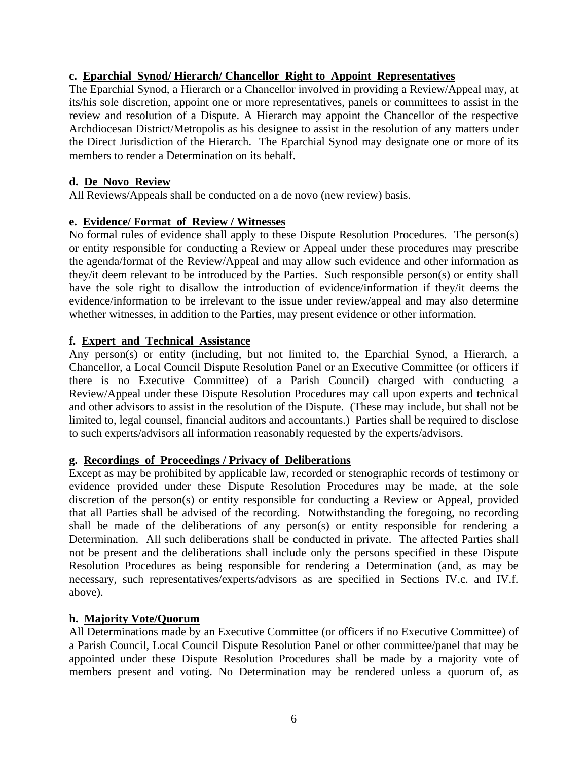## **c. Eparchial Synod/ Hierarch/ Chancellor Right to Appoint Representatives**

The Eparchial Synod, a Hierarch or a Chancellor involved in providing a Review/Appeal may, at its/his sole discretion, appoint one or more representatives, panels or committees to assist in the review and resolution of a Dispute. A Hierarch may appoint the Chancellor of the respective Archdiocesan District/Metropolis as his designee to assist in the resolution of any matters under the Direct Jurisdiction of the Hierarch. The Eparchial Synod may designate one or more of its members to render a Determination on its behalf.

## **d. De Novo Review**

All Reviews/Appeals shall be conducted on a de novo (new review) basis.

## **e. Evidence/ Format of Review / Witnesses**

No formal rules of evidence shall apply to these Dispute Resolution Procedures. The person(s) or entity responsible for conducting a Review or Appeal under these procedures may prescribe the agenda/format of the Review/Appeal and may allow such evidence and other information as they/it deem relevant to be introduced by the Parties. Such responsible person(s) or entity shall have the sole right to disallow the introduction of evidence/information if they/it deems the evidence/information to be irrelevant to the issue under review/appeal and may also determine whether witnesses, in addition to the Parties, may present evidence or other information.

#### **f. Expert and Technical Assistance**

Any person(s) or entity (including, but not limited to, the Eparchial Synod, a Hierarch, a Chancellor, a Local Council Dispute Resolution Panel or an Executive Committee (or officers if there is no Executive Committee) of a Parish Council) charged with conducting a Review/Appeal under these Dispute Resolution Procedures may call upon experts and technical and other advisors to assist in the resolution of the Dispute. (These may include, but shall not be limited to, legal counsel, financial auditors and accountants.) Parties shall be required to disclose to such experts/advisors all information reasonably requested by the experts/advisors.

#### **g. Recordings of Proceedings / Privacy of Deliberations**

Except as may be prohibited by applicable law, recorded or stenographic records of testimony or evidence provided under these Dispute Resolution Procedures may be made, at the sole discretion of the person(s) or entity responsible for conducting a Review or Appeal, provided that all Parties shall be advised of the recording. Notwithstanding the foregoing, no recording shall be made of the deliberations of any person(s) or entity responsible for rendering a Determination. All such deliberations shall be conducted in private. The affected Parties shall not be present and the deliberations shall include only the persons specified in these Dispute Resolution Procedures as being responsible for rendering a Determination (and, as may be necessary, such representatives/experts/advisors as are specified in Sections IV.c. and IV.f. above).

#### **h. Majority Vote/Quorum**

All Determinations made by an Executive Committee (or officers if no Executive Committee) of a Parish Council, Local Council Dispute Resolution Panel or other committee/panel that may be appointed under these Dispute Resolution Procedures shall be made by a majority vote of members present and voting. No Determination may be rendered unless a quorum of, as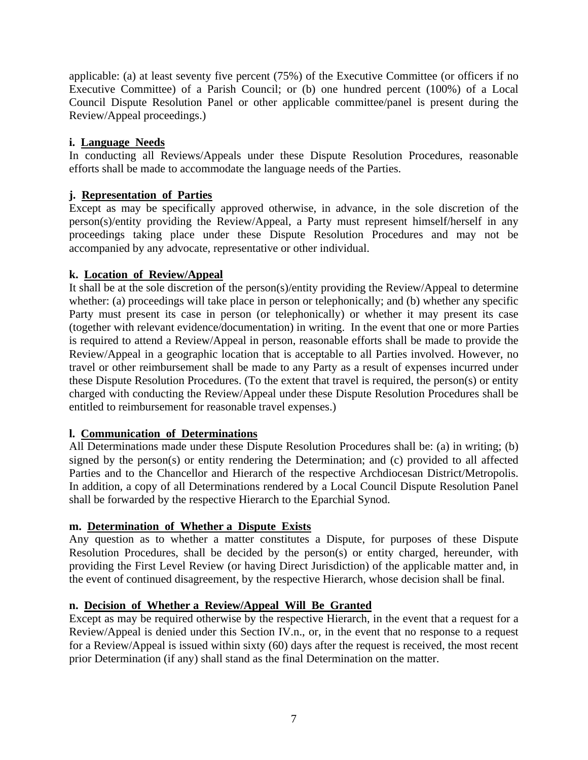applicable: (a) at least seventy five percent (75%) of the Executive Committee (or officers if no Executive Committee) of a Parish Council; or (b) one hundred percent (100%) of a Local Council Dispute Resolution Panel or other applicable committee/panel is present during the Review/Appeal proceedings.)

# **i. Language Needs**

In conducting all Reviews/Appeals under these Dispute Resolution Procedures, reasonable efforts shall be made to accommodate the language needs of the Parties.

# **j. Representation of Parties**

Except as may be specifically approved otherwise, in advance, in the sole discretion of the person(s)/entity providing the Review/Appeal, a Party must represent himself/herself in any proceedings taking place under these Dispute Resolution Procedures and may not be accompanied by any advocate, representative or other individual.

# **k. Location of Review/Appeal**

It shall be at the sole discretion of the person(s)/entity providing the Review/Appeal to determine whether: (a) proceedings will take place in person or telephonically; and (b) whether any specific Party must present its case in person (or telephonically) or whether it may present its case (together with relevant evidence/documentation) in writing. In the event that one or more Parties is required to attend a Review/Appeal in person, reasonable efforts shall be made to provide the Review/Appeal in a geographic location that is acceptable to all Parties involved. However, no travel or other reimbursement shall be made to any Party as a result of expenses incurred under these Dispute Resolution Procedures. (To the extent that travel is required, the person(s) or entity charged with conducting the Review/Appeal under these Dispute Resolution Procedures shall be entitled to reimbursement for reasonable travel expenses.)

# **l. Communication of Determinations**

All Determinations made under these Dispute Resolution Procedures shall be: (a) in writing; (b) signed by the person(s) or entity rendering the Determination; and (c) provided to all affected Parties and to the Chancellor and Hierarch of the respective Archdiocesan District/Metropolis. In addition, a copy of all Determinations rendered by a Local Council Dispute Resolution Panel shall be forwarded by the respective Hierarch to the Eparchial Synod.

# **m. Determination of Whether a Dispute Exists**

Any question as to whether a matter constitutes a Dispute, for purposes of these Dispute Resolution Procedures, shall be decided by the person(s) or entity charged, hereunder, with providing the First Level Review (or having Direct Jurisdiction) of the applicable matter and, in the event of continued disagreement, by the respective Hierarch, whose decision shall be final.

# **n. Decision of Whether a Review/Appeal Will Be Granted**

Except as may be required otherwise by the respective Hierarch, in the event that a request for a Review/Appeal is denied under this Section IV.n., or, in the event that no response to a request for a Review/Appeal is issued within sixty (60) days after the request is received, the most recent prior Determination (if any) shall stand as the final Determination on the matter.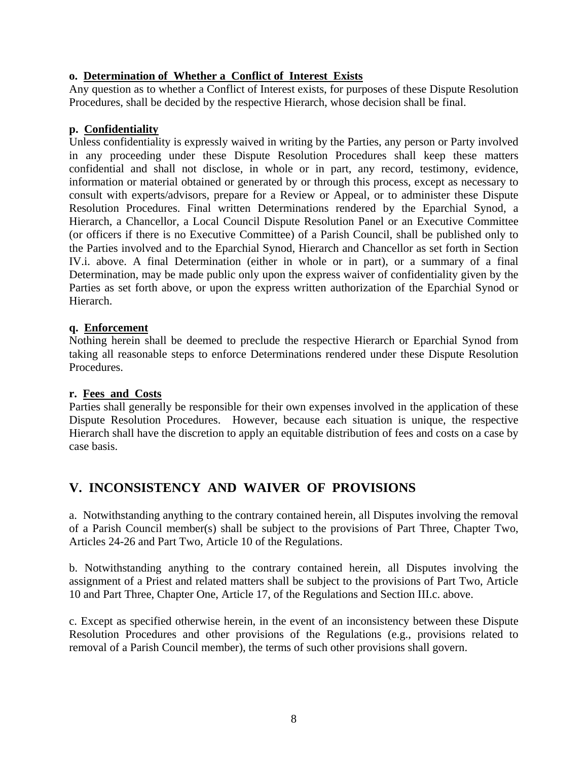## **o. Determination of Whether a Conflict of Interest Exists**

Any question as to whether a Conflict of Interest exists, for purposes of these Dispute Resolution Procedures, shall be decided by the respective Hierarch, whose decision shall be final.

## **p. Confidentiality**

Unless confidentiality is expressly waived in writing by the Parties, any person or Party involved in any proceeding under these Dispute Resolution Procedures shall keep these matters confidential and shall not disclose, in whole or in part, any record, testimony, evidence, information or material obtained or generated by or through this process, except as necessary to consult with experts/advisors, prepare for a Review or Appeal, or to administer these Dispute Resolution Procedures. Final written Determinations rendered by the Eparchial Synod, a Hierarch, a Chancellor, a Local Council Dispute Resolution Panel or an Executive Committee (or officers if there is no Executive Committee) of a Parish Council, shall be published only to the Parties involved and to the Eparchial Synod, Hierarch and Chancellor as set forth in Section IV.i. above. A final Determination (either in whole or in part), or a summary of a final Determination, may be made public only upon the express waiver of confidentiality given by the Parties as set forth above, or upon the express written authorization of the Eparchial Synod or Hierarch.

#### **q. Enforcement**

Nothing herein shall be deemed to preclude the respective Hierarch or Eparchial Synod from taking all reasonable steps to enforce Determinations rendered under these Dispute Resolution Procedures.

#### **r. Fees and Costs**

Parties shall generally be responsible for their own expenses involved in the application of these Dispute Resolution Procedures. However, because each situation is unique, the respective Hierarch shall have the discretion to apply an equitable distribution of fees and costs on a case by case basis.

# **V. INCONSISTENCY AND WAIVER OF PROVISIONS**

a. Notwithstanding anything to the contrary contained herein, all Disputes involving the removal of a Parish Council member(s) shall be subject to the provisions of Part Three, Chapter Two, Articles 24-26 and Part Two, Article 10 of the Regulations.

b. Notwithstanding anything to the contrary contained herein, all Disputes involving the assignment of a Priest and related matters shall be subject to the provisions of Part Two, Article 10 and Part Three, Chapter One, Article 17, of the Regulations and Section III.c. above.

c. Except as specified otherwise herein, in the event of an inconsistency between these Dispute Resolution Procedures and other provisions of the Regulations (e.g., provisions related to removal of a Parish Council member), the terms of such other provisions shall govern.